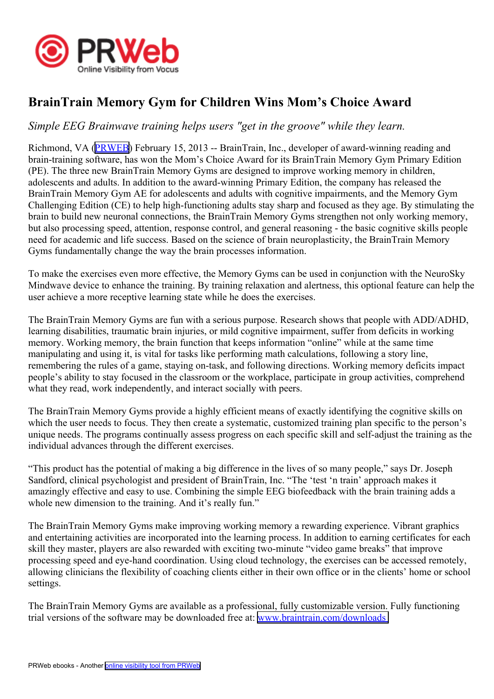

## **BrainTrain Memory Gym for Children Wins Mom's Choice Award**

## *Simple EEG Brainwave training helps users "get in the groove" while they learn.*

Richmond, VA [\(PRWEB\)](http://www.prweb.com) February 15, 2013 -- BrainTrain, Inc., developer of award-winning reading and brain-training software, has won the Mom's Choice Award for its BrainTrain Memory Gym Primary Edition (PE). The three new BrainTrain Memory Gyms are designed to improve working memory in children, adolescents and adults. In addition to the award-winning Primary Edition, the company has released the BrainTrain Memory Gym AE for adolescents and adults with cognitive impairments, and the Memory Gym Challenging Edition (CE) to help high-functioning adults stay sharp and focused as they age. By stimulating the brain to build new neuronal connections, the BrainTrain Memory Gyms strengthen not only working memory, but also processing speed, attention, response control, and general reasoning - the basic cognitive skills people need for academic and life success. Based on the science of brain neuroplasticity, the BrainTrain Memory Gyms fundamentally change the way the brain processes information.

To make the exercises even more effective, the Memory Gyms can be used in conjunction with the NeuroSky Mindwave device to enhance the training. By training relaxation and alertness, this optional feature can help the user achieve <sup>a</sup> more receptive learning state while he does the exercises.

The BrainTrain Memory Gyms are fun with <sup>a</sup> serious purpose. Research shows that people with ADD/ADHD, learning disabilities, traumatic brain injuries, or mild cognitive impairment, suffer from deficits in working memory. Working memory, the brain function that keeps information "online" while at the same time manipulating and using it, is vital for tasks like performing math calculations, following <sup>a</sup> story line, remembering the rules of <sup>a</sup> game, staying on-task, and following directions. Working memory deficits impact people's ability to stay focused in the classroom or the workplace, participate in group activities, comprehend what they read, work independently, and interact socially with peers.

The BrainTrain Memory Gyms provide <sup>a</sup> highly efficient means of exactly identifying the cognitive skills on which the user needs to focus. They then create a systematic, customized training plan specific to the person's unique needs. The programs continually assess progress on each specific skill and self-adjust the training as the individual advances through the different exercises.

"This product has the potential of making <sup>a</sup> big difference in the lives of so many people," says Dr. Joseph Sandford, clinical psychologist and president of BrainTrain, Inc. "The 'test 'n train' approach makes it amazingly effective and easy to use. Combining the simple EEG biofeedback with the brain training adds <sup>a</sup> whole new dimension to the training. And it's really fun."

The BrainTrain Memory Gyms make improving working memory <sup>a</sup> rewarding experience. Vibrant graphics and entertaining activities are incorporated into the learning process. In addition to earning certificates for each skill they master, players are also rewarded with exciting two-minute "video game breaks" that improve processing speed and eye-hand coordination. Using cloud technology, the exercises can be accessed remotely, allowing clinicians the flexibility of coaching clients either in their own office or in the clients' home or school settings.

The BrainTrain Memory Gyms are available as <sup>a</sup> professional, fully customizable version. Fully functioning trial versions of the software may be downloaded free at: [www.braintrain.com/downloads](http://www.braintrain.com/downloads
)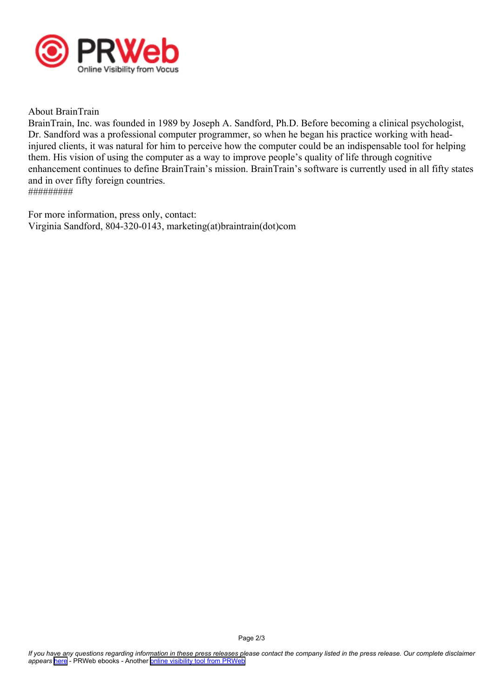

About BrainTrain

BrainTrain, Inc. was founded in 1989 by Joseph A. Sandford, Ph.D. Before becoming <sup>a</sup> clinical psychologist, Dr. Sandford was <sup>a</sup> professional computer programmer, so when he began his practice working with headinjured clients, it was natural for him to perceive how the computer could be an indispensable tool for helping them. His vision of using the computer as <sup>a</sup> way to improve people's quality of life through cognitive enhancement continues to define BrainTrain's mission. BrainTrain's software is currently used in all fifty states and in over fifty foreign countries. #########

For more information, press only, contact: Virginia Sandford, 804-320-0143, marketing(at)braintrain(dot)com